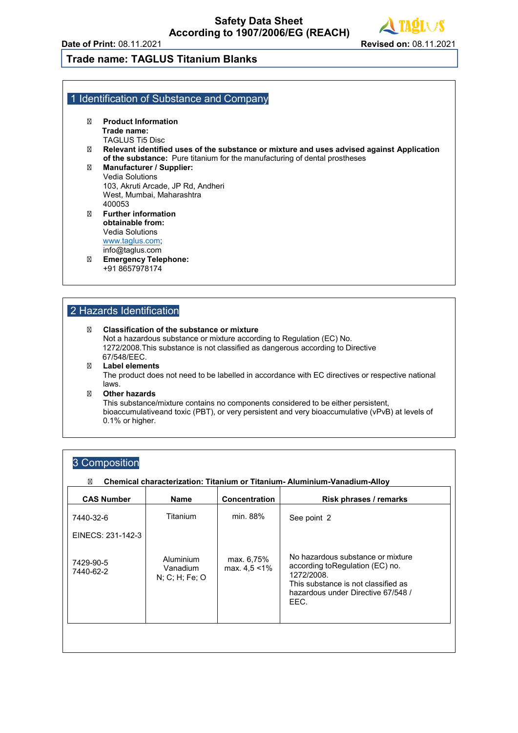# **Trade name: TAGLUS Titanium Blanks**

#### 1 Identification of Substance and Company

**Product Information Trade name:** TAGLUS Ti5 Disc **Relevant identified uses of the substance or mixture and uses advised against Application of the substance:** Pure titanium for the manufacturing of dental prostheses **Manufacturer / Supplier:** Vedia Solutions 103, Akruti Arcade, JP Rd, Andheri West, Mumbai, Maharashtra 400053 **Further information obtainable from:** Vedia Solutions [www.taglus.com;](http://www.taglus.com/) info@taglus.com **Emergency Telephone:** +91 8657978174

#### 2 Hazards Identification

#### **Classification of the substance or mixture**

Not a hazardous substance or mixture according to Regulation (EC) No. 1272/2008.This substance is not classified as dangerous according to Directive 67/548/EEC. **Label elements** The product does not need to be labelled in accordance with EC directives or respective national laws. **Other hazards**

This substance/mixture contains no components considered to be either persistent, bioaccumulativeand toxic (PBT), or very persistent and very bioaccumulative (vPvB) at levels of 0.1% or higher.

### 3 Composition

#### **Chemical characterization: Titanium or Titanium- Aluminium-Vanadium-Alloy**

| <b>CAS Number</b>      | <b>Name</b>                                | <b>Concentration</b>           | Risk phrases / remarks                                                                                                                                                   |
|------------------------|--------------------------------------------|--------------------------------|--------------------------------------------------------------------------------------------------------------------------------------------------------------------------|
| 7440-32-6              | Titanium                                   | min. 88%                       | See point 2                                                                                                                                                              |
| EINECS: 231-142-3      |                                            |                                |                                                                                                                                                                          |
| 7429-90-5<br>7440-62-2 | Aluminium<br>Vanadium<br>$N$ ; C; H; Fe; O | max. 6,75%<br>max. $4.5 < 1\%$ | No hazardous substance or mixture<br>according to Regulation (EC) no.<br>1272/2008.<br>This substance is not classified as<br>hazardous under Directive 67/548 /<br>EEC. |
|                        |                                            |                                |                                                                                                                                                                          |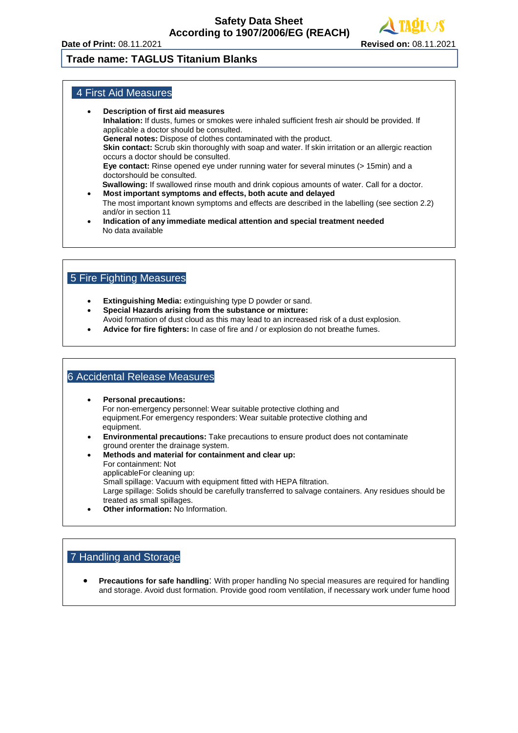# **Trade name: TAGLUS Titanium Blanks**

## 4 First Aid Measures

- **Description of first aid measures Inhalation:** If dusts, fumes or smokes were inhaled sufficient fresh air should be provided. If applicable a doctor should be consulted. **General notes:** Dispose of clothes contaminated with the product. **Skin contact:** Scrub skin thoroughly with soap and water. If skin irritation or an allergic reaction occurs a doctor should be consulted. **Eye contact:** Rinse opened eye under running water for several minutes (> 15min) and a doctorshould be consulted.  **Swallowing:** If swallowed rinse mouth and drink copious amounts of water. Call for a doctor. • **Most important symptoms and effects, both acute and delayed**
- The most important known symptoms and effects are described in the labelling (see section 2.2) and/or in section 11
- **Indication of any immediate medical attention and special treatment needed** No data available

## 5 Fire Fighting Measures

- **Extinguishing Media:** extinguishing type D powder or sand.
- **Special Hazards arising from the substance or mixture:** Avoid formation of dust cloud as this may lead to an increased risk of a dust explosion.
- **Advice for fire fighters:** In case of fire and / or explosion do not breathe fumes.

#### 6 Accidental Release Measures

- **Personal precautions:** For non-emergency personnel: Wear suitable protective clothing and equipment.For emergency responders: Wear suitable protective clothing and equipment.
- **Environmental precautions:** Take precautions to ensure product does not contaminate ground orenter the drainage system.
- **Methods and material for containment and clear up:** For containment: Not applicableFor cleaning up: Small spillage: Vacuum with equipment fitted with HEPA filtration. Large spillage: Solids should be carefully transferred to salvage containers. Any residues should be treated as small spillages. • **Other information:** No Information.

#### 7 Handling and Storage

• **Precautions for safe handling**: With proper handling No special measures are required for handling and storage. Avoid dust formation. Provide good room ventilation, if necessary work under fume hood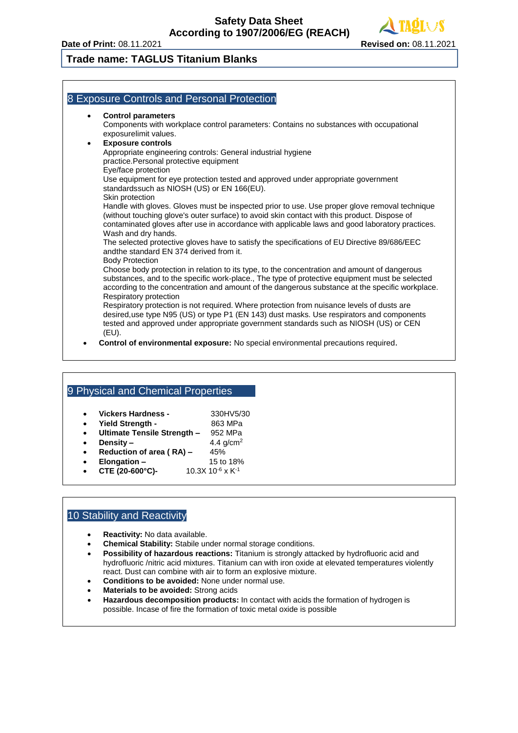# **Trade name: TAGLUS Titanium Blanks**

## 8 Exposure Controls and Personal Protection

#### • **Control parameters**

Components with workplace control parameters: Contains no substances with occupational exposurelimit values.

### • **Exposure controls**

Appropriate engineering controls: General industrial hygiene practice.Personal protective equipment

Eye/face protection

Use equipment for eye protection tested and approved under appropriate government standardssuch as NIOSH (US) or EN 166(EU). Skin protection

Handle with gloves. Gloves must be inspected prior to use. Use proper glove removal technique (without touching glove's outer surface) to avoid skin contact with this product. Dispose of contaminated gloves after use in accordance with applicable laws and good laboratory practices. Wash and dry hands.

The selected protective gloves have to satisfy the specifications of EU Directive 89/686/EEC andthe standard EN 374 derived from it.

Body Protection

Choose body protection in relation to its type, to the concentration and amount of dangerous substances, and to the specific work-place., The type of protective equipment must be selected according to the concentration and amount of the dangerous substance at the specific workplace. Respiratory protection

Respiratory protection is not required. Where protection from nuisance levels of dusts are desired,use type N95 (US) or type P1 (EN 143) dust masks. Use respirators and components tested and approved under appropriate government standards such as NIOSH (US) or CEN (EU).

• **Control of environmental exposure:** No special environmental precautions required.

# 9 Physical and Chemical Properties

- **Vickers Hardness -** 330HV5/30
- Yield Strength 863 MPa
- **Ultimate Tensile Strength –** 952 MPa
- **Density –**  $4.4 \text{ g/cm}^2$
- **Reduction of area (RA) 45%**
- **Elongation –** 15 to 18%
- **CTE (20-600°C)-**  $10.3X\ 10^{-6} \times K^{-1}$

# 10 Stability and Reactivity

- **Reactivity:** No data available.
- **Chemical Stability:** Stabile under normal storage conditions.
- **Possibility of hazardous reactions:** Titanium is strongly attacked by hydrofluoric acid and hydrofluoric /nitric acid mixtures. Titanium can with iron oxide at elevated temperatures violently react. Dust can combine with air to form an explosive mixture.
- **Conditions to be avoided:** None under normal use.
- **Materials to be avoided:** Strong acids
- **Hazardous decomposition products:** In contact with acids the formation of hydrogen is possible. Incase of fire the formation of toxic metal oxide is possible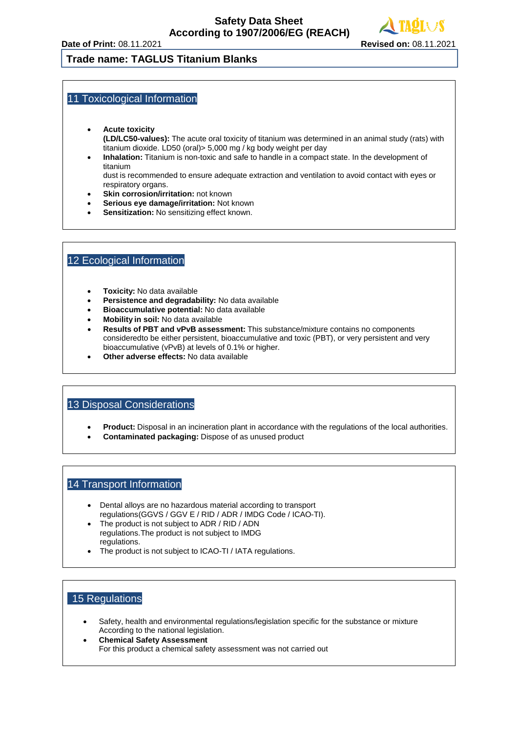#### **Trade name: TAGLUS Titanium Blanks**

#### 11 Toxicological Information

- **Acute toxicity (LD/LC50-values):** The acute oral toxicity of titanium was determined in an animal study (rats) with titanium dioxide. LD50 (oral)> 5,000 mg / kg body weight per day
- **Inhalation:** Titanium is non-toxic and safe to handle in a compact state. In the development of titanium

dust is recommended to ensure adequate extraction and ventilation to avoid contact with eyes or respiratory organs.

- **Skin corrosion/irritation:** not known
- **Serious eye damage/irritation:** Not known
- **Sensitization:** No sensitizing effect known.

## 12 Ecological Information

- **Toxicity:** No data available
- **Persistence and degradability:** No data available
- **Bioaccumulative potential:** No data available
- **Mobility in soil:** No data available
- **Results of PBT and vPvB assessment:** This substance/mixture contains no components consideredto be either persistent, bioaccumulative and toxic (PBT), or very persistent and very bioaccumulative (vPvB) at levels of 0.1% or higher.
- **Other adverse effects:** No data available

#### 13 Disposal Considerations

- **Product:** Disposal in an incineration plant in accordance with the regulations of the local authorities.
- **Contaminated packaging:** Dispose of as unused product

#### 14 Transport Information

- Dental alloys are no hazardous material according to transport regulations(GGVS / GGV E / RID / ADR / IMDG Code / ICAO-TI).
- The product is not subject to ADR / RID / ADN regulations.The product is not subject to IMDG regulations.
- The product is not subject to ICAO-TI / IATA regulations.

#### 15 Regulations

- Safety, health and environmental regulations/legislation specific for the substance or mixture According to the national legislation.
- **Chemical Safety Assessment** For this product a chemical safety assessment was not carried out